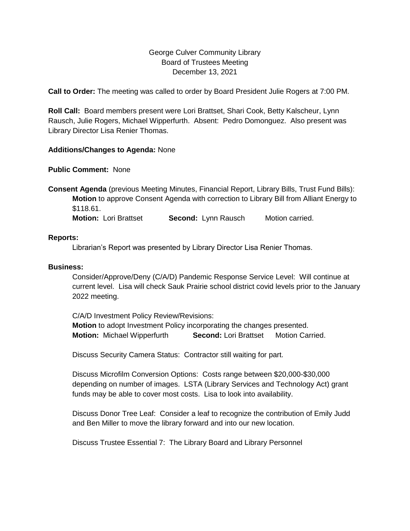## George Culver Community Library Board of Trustees Meeting December 13, 2021

**Call to Order:** The meeting was called to order by Board President Julie Rogers at 7:00 PM.

**Roll Call:** Board members present were Lori Brattset, Shari Cook, Betty Kalscheur, Lynn Rausch, Julie Rogers, Michael Wipperfurth. Absent: Pedro Domonguez. Also present was Library Director Lisa Renier Thomas.

### **Additions/Changes to Agenda:** None

**Public Comment:** None

**Consent Agenda** (previous Meeting Minutes, Financial Report, Library Bills, Trust Fund Bills): **Motion** to approve Consent Agenda with correction to Library Bill from Alliant Energy to \$118.61.

**Motion:** Lori Brattset **Second:** Lynn Rausch Motion carried.

#### **Reports:**

Librarian's Report was presented by Library Director Lisa Renier Thomas.

#### **Business:**

Consider/Approve/Deny (C/A/D) Pandemic Response Service Level: Will continue at current level. Lisa will check Sauk Prairie school district covid levels prior to the January 2022 meeting.

C/A/D Investment Policy Review/Revisions: **Motion** to adopt Investment Policy incorporating the changes presented. **Motion:** Michael Wipperfurth **Second:** Lori Brattset Motion Carried.

Discuss Security Camera Status: Contractor still waiting for part.

Discuss Microfilm Conversion Options: Costs range between \$20,000-\$30,000 depending on number of images. LSTA (Library Services and Technology Act) grant funds may be able to cover most costs. Lisa to look into availability.

Discuss Donor Tree Leaf: Consider a leaf to recognize the contribution of Emily Judd and Ben Miller to move the library forward and into our new location.

Discuss Trustee Essential 7: The Library Board and Library Personnel